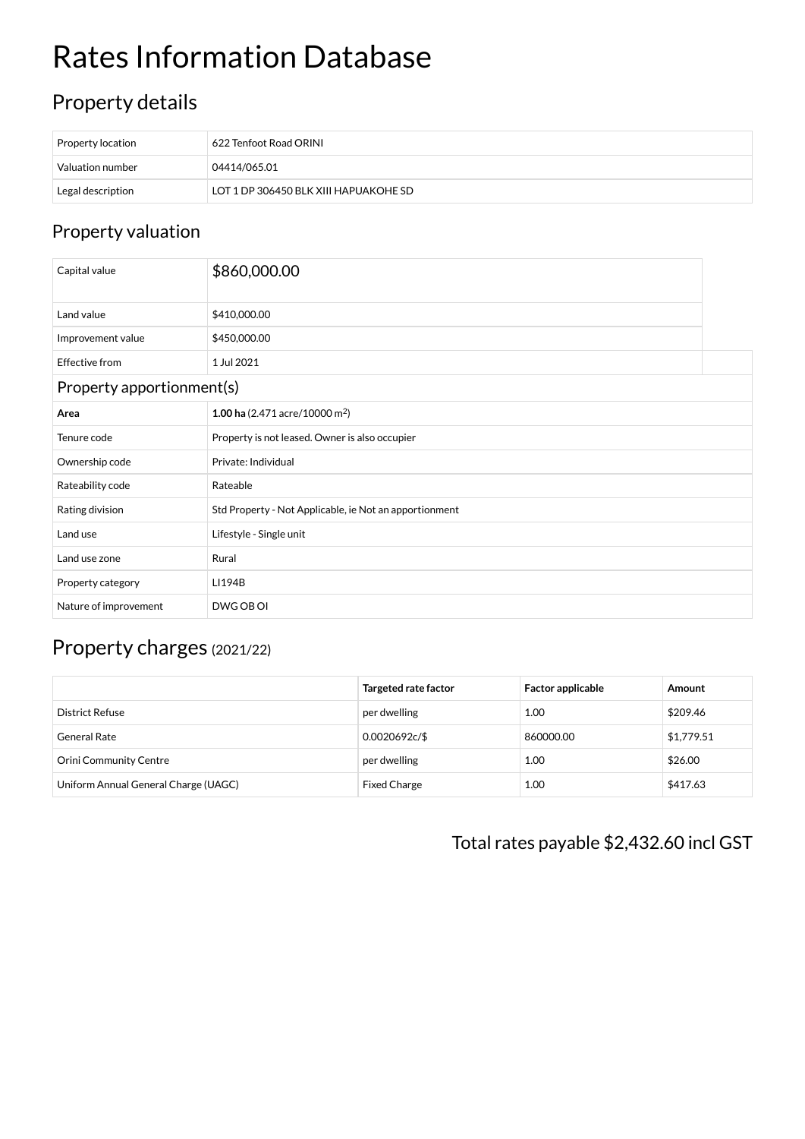# Rates Information Database

# Property details

| Property location | $\pm$ 622 Tenfoot Road ORINI          |
|-------------------|---------------------------------------|
| Valuation number  | 04414/065.01                          |
| Legal description | LOT 1 DP 306450 BLK XIII HAPUAKOHE SD |

### Property valuation

| Capital value             | \$860,000.00                                           |  |  |  |
|---------------------------|--------------------------------------------------------|--|--|--|
| Land value                | \$410,000.00                                           |  |  |  |
| Improvement value         | \$450,000.00                                           |  |  |  |
| <b>Effective from</b>     | 1 Jul 2021                                             |  |  |  |
| Property apportionment(s) |                                                        |  |  |  |
| Area                      | 1.00 ha $(2.471$ acre/10000 m <sup>2</sup> )           |  |  |  |
| Tenure code               | Property is not leased. Owner is also occupier         |  |  |  |
| Ownership code            | Private: Individual                                    |  |  |  |
| Rateability code          | Rateable                                               |  |  |  |
| Rating division           | Std Property - Not Applicable, ie Not an apportionment |  |  |  |
| Land use                  | Lifestyle - Single unit                                |  |  |  |
| Land use zone             | Rural                                                  |  |  |  |
| Property category         | LI194B                                                 |  |  |  |
| Nature of improvement     | DWG OB OI                                              |  |  |  |

## Property charges (2021/22)

|                                      | Targeted rate factor | <b>Factor applicable</b> | Amount     |
|--------------------------------------|----------------------|--------------------------|------------|
| District Refuse                      | per dwelling         | 1.00                     | \$209.46   |
| General Rate                         | 0.0020692c/\$        | 860000.00                | \$1,779.51 |
| <b>Orini Community Centre</b>        | per dwelling         | 1.00                     | \$26.00    |
| Uniform Annual General Charge (UAGC) | <b>Fixed Charge</b>  | 1.00                     | \$417.63   |

Total rates payable \$2,432.60 incl GST